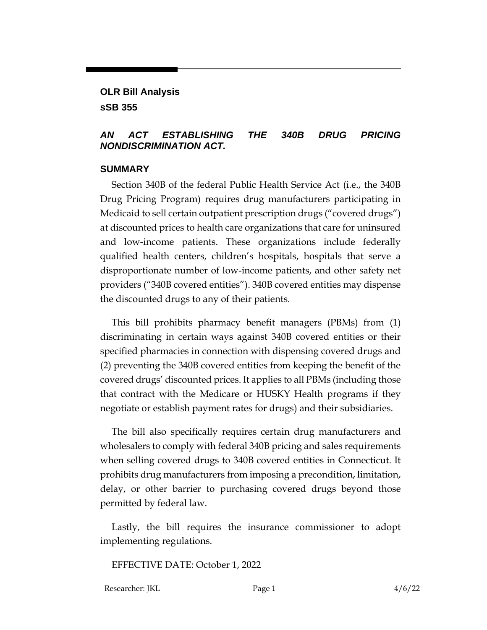**OLR Bill Analysis sSB 355**

#### *AN ACT ESTABLISHING THE 340B DRUG PRICING NONDISCRIMINATION ACT.*

#### **SUMMARY**

Section 340B of the federal Public Health Service Act (i.e., the 340B Drug Pricing Program) requires drug manufacturers participating in Medicaid to sell certain outpatient prescription drugs ("covered drugs") at discounted prices to health care organizations that care for uninsured and low-income patients. These organizations include federally qualified health centers, children's hospitals, hospitals that serve a disproportionate number of low-income patients, and other safety net providers ("340B covered entities"). 340B covered entities may dispense the discounted drugs to any of their patients.

This bill prohibits pharmacy benefit managers (PBMs) from (1) discriminating in certain ways against 340B covered entities or their specified pharmacies in connection with dispensing covered drugs and (2) preventing the 340B covered entities from keeping the benefit of the covered drugs' discounted prices. It applies to all PBMs (including those that contract with the Medicare or HUSKY Health programs if they negotiate or establish payment rates for drugs) and their subsidiaries.

The bill also specifically requires certain drug manufacturers and wholesalers to comply with federal 340B pricing and sales requirements when selling covered drugs to 340B covered entities in Connecticut. It prohibits drug manufacturers from imposing a precondition, limitation, delay, or other barrier to purchasing covered drugs beyond those permitted by federal law.

Lastly, the bill requires the insurance commissioner to adopt implementing regulations.

EFFECTIVE DATE: October 1, 2022

Researcher: JKL Page 1 4/6/22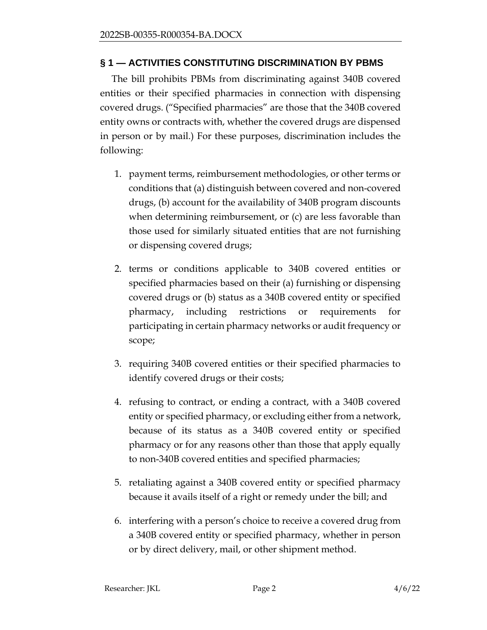## **§ 1 — ACTIVITIES CONSTITUTING DISCRIMINATION BY PBMS**

The bill prohibits PBMs from discriminating against 340B covered entities or their specified pharmacies in connection with dispensing covered drugs. ("Specified pharmacies" are those that the 340B covered entity owns or contracts with, whether the covered drugs are dispensed in person or by mail.) For these purposes, discrimination includes the following:

- 1. payment terms, reimbursement methodologies, or other terms or conditions that (a) distinguish between covered and non-covered drugs, (b) account for the availability of 340B program discounts when determining reimbursement, or (c) are less favorable than those used for similarly situated entities that are not furnishing or dispensing covered drugs;
- 2. terms or conditions applicable to 340B covered entities or specified pharmacies based on their (a) furnishing or dispensing covered drugs or (b) status as a 340B covered entity or specified pharmacy, including restrictions or requirements for participating in certain pharmacy networks or audit frequency or scope;
- 3. requiring 340B covered entities or their specified pharmacies to identify covered drugs or their costs;
- 4. refusing to contract, or ending a contract, with a 340B covered entity or specified pharmacy, or excluding either from a network, because of its status as a 340B covered entity or specified pharmacy or for any reasons other than those that apply equally to non-340B covered entities and specified pharmacies;
- 5. retaliating against a 340B covered entity or specified pharmacy because it avails itself of a right or remedy under the bill; and
- 6. interfering with a person's choice to receive a covered drug from a 340B covered entity or specified pharmacy, whether in person or by direct delivery, mail, or other shipment method.